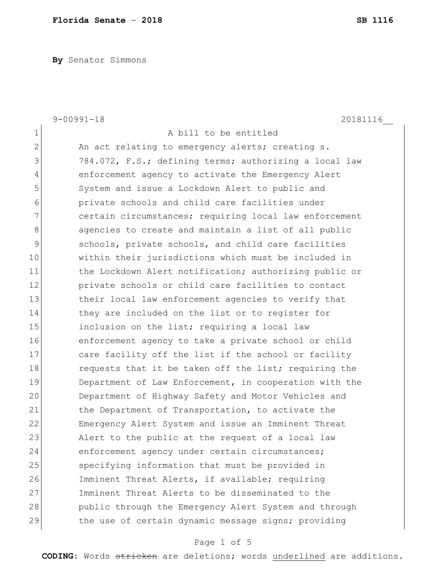**By** Senator Simmons

|                | $9 - 00991 - 18$<br>20181116                           |
|----------------|--------------------------------------------------------|
| $\mathbf 1$    | A bill to be entitled                                  |
| $\overline{2}$ | An act relating to emergency alerts; creating s.       |
| 3              | 784.072, F.S.; defining terms; authorizing a local law |
| $\overline{4}$ | enforcement agency to activate the Emergency Alert     |
| 5              | System and issue a Lockdown Alert to public and        |
| 6              | private schools and child care facilities under        |
| 7              | certain circumstances; requiring local law enforcement |
| 8              | agencies to create and maintain a list of all public   |
| $\mathcal{G}$  | schools, private schools, and child care facilities    |
| 10             | within their jurisdictions which must be included in   |
| 11             | the Lockdown Alert notification; authorizing public or |
| 12             | private schools or child care facilities to contact    |
| 13             | their local law enforcement agencies to verify that    |
| 14             | they are included on the list or to register for       |
| 15             | inclusion on the list; requiring a local law           |
| 16             | enforcement agency to take a private school or child   |
| 17             | care facility off the list if the school or facility   |
| 18             | requests that it be taken off the list; requiring the  |
| 19             | Department of Law Enforcement, in cooperation with the |
| 20             | Department of Highway Safety and Motor Vehicles and    |
| 21             | the Department of Transportation, to activate the      |
| 22             | Emergency Alert System and issue an Imminent Threat    |
| 23             | Alert to the public at the request of a local law      |
| 24             | enforcement agency under certain circumstances;        |
| 25             | specifying information that must be provided in        |
| 26             | Imminent Threat Alerts, if available; requiring        |
| 27             | Imminent Threat Alerts to be disseminated to the       |
| 28             | public through the Emergency Alert System and through  |
| 29             | the use of certain dynamic message signs; providing    |

# Page 1 of 5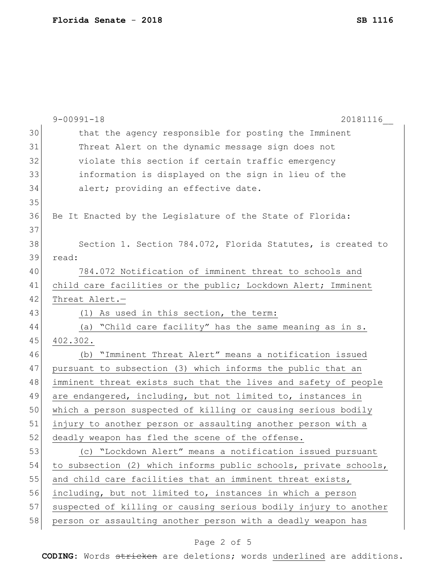|    | $9 - 00991 - 18$<br>20181116                                     |
|----|------------------------------------------------------------------|
| 30 | that the agency responsible for posting the Imminent             |
| 31 | Threat Alert on the dynamic message sign does not                |
| 32 | violate this section if certain traffic emergency                |
| 33 | information is displayed on the sign in lieu of the              |
| 34 | alert; providing an effective date.                              |
| 35 |                                                                  |
| 36 | Be It Enacted by the Legislature of the State of Florida:        |
| 37 |                                                                  |
| 38 | Section 1. Section 784.072, Florida Statutes, is created to      |
| 39 | read:                                                            |
| 40 | 784.072 Notification of imminent threat to schools and           |
| 41 | child care facilities or the public; Lockdown Alert; Imminent    |
| 42 | Threat Alert.-                                                   |
| 43 | (1) As used in this section, the term:                           |
| 44 | (a) "Child care facility" has the same meaning as in s.          |
| 45 | 402.302.                                                         |
| 46 | "Imminent Threat Alert" means a notification issued<br>(b)       |
| 47 | pursuant to subsection (3) which informs the public that an      |
| 48 | imminent threat exists such that the lives and safety of people  |
| 49 | are endangered, including, but not limited to, instances in      |
| 50 | which a person suspected of killing or causing serious bodily    |
| 51 | injury to another person or assaulting another person with a     |
| 52 | deadly weapon has fled the scene of the offense.                 |
| 53 | (c) "Lockdown Alert" means a notification issued pursuant        |
| 54 | to subsection (2) which informs public schools, private schools, |
| 55 | and child care facilities that an imminent threat exists,        |
| 56 | including, but not limited to, instances in which a person       |
| 57 | suspected of killing or causing serious bodily injury to another |
| 58 | person or assaulting another person with a deadly weapon has     |
|    |                                                                  |

# Page 2 of 5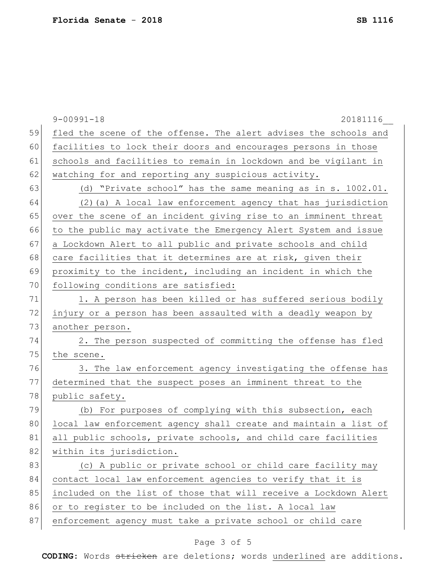|    | $9 - 00991 - 18$<br>20181116                                     |
|----|------------------------------------------------------------------|
| 59 | fled the scene of the offense. The alert advises the schools and |
| 60 | facilities to lock their doors and encourages persons in those   |
| 61 | schools and facilities to remain in lockdown and be vigilant in  |
| 62 | watching for and reporting any suspicious activity.              |
| 63 | (d) "Private school" has the same meaning as in s. 1002.01.      |
| 64 | (2) (a) A local law enforcement agency that has jurisdiction     |
| 65 | over the scene of an incident giving rise to an imminent threat  |
| 66 | to the public may activate the Emergency Alert System and issue  |
| 67 | a Lockdown Alert to all public and private schools and child     |
| 68 | care facilities that it determines are at risk, given their      |
| 69 | proximity to the incident, including an incident in which the    |
| 70 | following conditions are satisfied:                              |
| 71 | 1. A person has been killed or has suffered serious bodily       |
| 72 | injury or a person has been assaulted with a deadly weapon by    |
| 73 | another person.                                                  |
| 74 | 2. The person suspected of committing the offense has fled       |
| 75 | the scene.                                                       |
| 76 | 3. The law enforcement agency investigating the offense has      |
| 77 | determined that the suspect poses an imminent threat to the      |
| 78 | public safety.                                                   |
| 79 | (b) For purposes of complying with this subsection, each         |
| 80 | local law enforcement agency shall create and maintain a list of |
| 81 | all public schools, private schools, and child care facilities   |
| 82 | within its jurisdiction.                                         |
| 83 | (c) A public or private school or child care facility may        |
| 84 | contact local law enforcement agencies to verify that it is      |
| 85 | included on the list of those that will receive a Lockdown Alert |
| 86 | or to register to be included on the list. A local law           |
| 87 | enforcement agency must take a private school or child care      |

# Page 3 of 5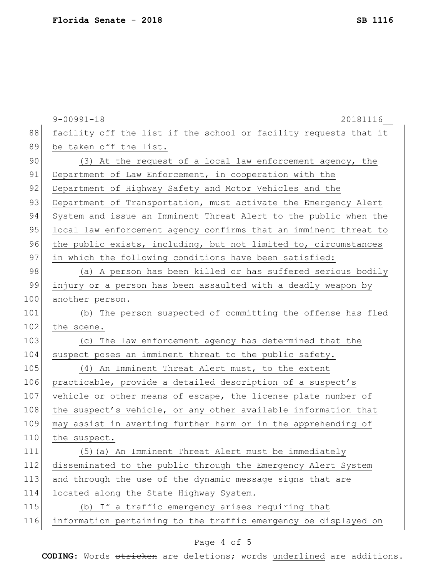|     | $9 - 00991 - 18$<br>20181116                                     |
|-----|------------------------------------------------------------------|
| 88  | facility off the list if the school or facility requests that it |
| 89  | be taken off the list.                                           |
| 90  | (3) At the request of a local law enforcement agency, the        |
| 91  | Department of Law Enforcement, in cooperation with the           |
| 92  | Department of Highway Safety and Motor Vehicles and the          |
| 93  | Department of Transportation, must activate the Emergency Alert  |
| 94  | System and issue an Imminent Threat Alert to the public when the |
| 95  | local law enforcement agency confirms that an imminent threat to |
| 96  | the public exists, including, but not limited to, circumstances  |
| 97  | in which the following conditions have been satisfied:           |
| 98  | (a) A person has been killed or has suffered serious bodily      |
| 99  | injury or a person has been assaulted with a deadly weapon by    |
| 100 | another person.                                                  |
| 101 | (b) The person suspected of committing the offense has fled      |
| 102 | the scene.                                                       |
| 103 | (c) The law enforcement agency has determined that the           |
| 104 | suspect poses an imminent threat to the public safety.           |
| 105 | (4) An Imminent Threat Alert must, to the extent                 |
| 106 | practicable, provide a detailed description of a suspect's       |
| 107 | vehicle or other means of escape, the license plate number of    |
| 108 | the suspect's vehicle, or any other available information that   |
| 109 | may assist in averting further harm or in the apprehending of    |
| 110 | the suspect.                                                     |
| 111 | (5) (a) An Imminent Threat Alert must be immediately             |
| 112 | disseminated to the public through the Emergency Alert System    |
| 113 | and through the use of the dynamic message signs that are        |
| 114 | located along the State Highway System.                          |
| 115 | (b) If a traffic emergency arises requiring that                 |
| 116 | information pertaining to the traffic emergency be displayed on  |
|     |                                                                  |

# Page 4 of 5